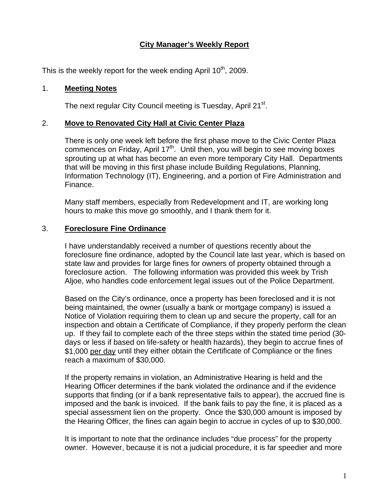# **City Manager's Weekly Report**

This is the weekly report for the week ending April  $10<sup>th</sup>$ , 2009.

#### 1. **Meeting Notes**

The next regular City Council meeting is Tuesday, April 21<sup>st</sup>.

### 2. **Move to Renovated City Hall at Civic Center Plaza**

There is only one week left before the first phase move to the Civic Center Plaza commences on Friday, April 17<sup>th</sup>. Until then, you will begin to see moving boxes sprouting up at what has become an even more temporary City Hall. Departments that will be moving in this first phase include Building Regulations, Planning, Information Technology (IT), Engineering, and a portion of Fire Administration and Finance.

Many staff members, especially from Redevelopment and IT, are working long hours to make this move go smoothly, and I thank them for it.

### 3. **Foreclosure Fine Ordinance**

I have understandably received a number of questions recently about the foreclosure fine ordinance, adopted by the Council late last year, which is based on state law and provides for large fines for owners of property obtained through a foreclosure action. The following information was provided this week by Trish Aljoe, who handles code enforcement legal issues out of the Police Department.

Based on the City's ordinance, once a property has been foreclosed and it is not being maintained, the owner (usually a bank or mortgage company) is issued a Notice of Violation requiring them to clean up and secure the property, call for an inspection and obtain a Certificate of Compliance, if they properly perform the clean up. If they fail to complete each of the three steps within the stated time period (30 days or less if based on life-safety or health hazards), they begin to accrue fines of \$1,000 per day until they either obtain the Certificate of Compliance or the fines reach a maximum of \$30,000.

If the property remains in violation, an Administrative Hearing is held and the Hearing Officer determines if the bank violated the ordinance and if the evidence supports that finding (or if a bank representative fails to appear), the accrued fine is imposed and the bank is invoiced. If the bank fails to pay the fine, it is placed as a special assessment lien on the property. Once the \$30,000 amount is imposed by the Hearing Officer, the fines can again begin to accrue in cycles of up to \$30,000.

It is important to note that the ordinance includes "due process" for the property owner. However, because it is not a judicial procedure, it is far speedier and more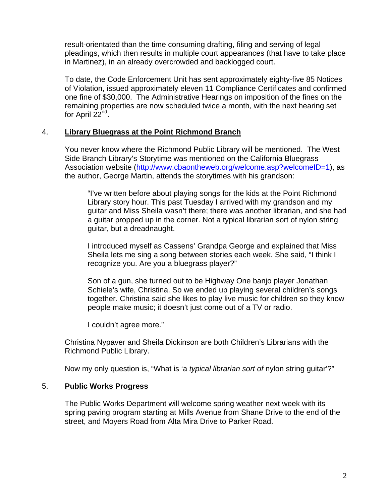result-orientated than the time consuming drafting, filing and serving of legal pleadings, which then results in multiple court appearances (that have to take place in Martinez), in an already overcrowded and backlogged court.

To date, the Code Enforcement Unit has sent approximately eighty-five 85 Notices of Violation, issued approximately eleven 11 Compliance Certificates and confirmed one fine of \$30,000. The Administrative Hearings on imposition of the fines on the remaining properties are now scheduled twice a month, with the next hearing set for April  $22<sup>na</sup>$ .

### 4. **Library Bluegrass at the Point Richmond Branch**

You never know where the Richmond Public Library will be mentioned. The West Side Branch Library's Storytime was mentioned on the California Bluegrass Association website (<http://www.cbaontheweb.org/welcome.asp?welcomeID=1>), as the author, George Martin, attends the storytimes with his grandson:

"I've written before about playing songs for the kids at the Point Richmond Library story hour. This past Tuesday I arrived with my grandson and my guitar and Miss Sheila wasn't there; there was another librarian, and she had a guitar propped up in the corner. Not a typical librarian sort of nylon string guitar, but a dreadnaught.

I introduced myself as Cassens' Grandpa George and explained that Miss Sheila lets me sing a song between stories each week. She said, "I think I recognize you. Are you a bluegrass player?"

Son of a gun, she turned out to be Highway One banjo player Jonathan Schiele's wife, Christina. So we ended up playing several children's songs together. Christina said she likes to play live music for children so they know people make music; it doesn't just come out of a TV or radio.

I couldn't agree more."

Christina Nypaver and Sheila Dickinson are both Children's Librarians with the Richmond Public Library.

Now my only question is, "What is 'a *typical librarian sort of* nylon string guitar'?"

## 5. **Public Works Progress**

The Public Works Department will welcome spring weather next week with its spring paving program starting at Mills Avenue from Shane Drive to the end of the street, and Moyers Road from Alta Mira Drive to Parker Road.